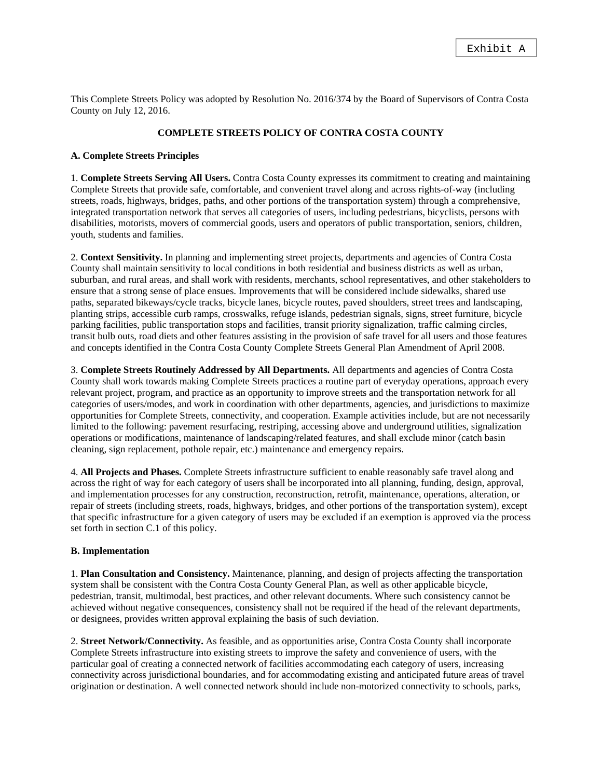This Complete Streets Policy was adopted by Resolution No. 2016/374 by the Board of Supervisors of Contra Costa County on July 12, 2016.

## **COMPLETE STREETS POLICY OF CONTRA COSTA COUNTY**

## **A. Complete Streets Principles**

1. **Complete Streets Serving All Users.** Contra Costa County expresses its commitment to creating and maintaining Complete Streets that provide safe, comfortable, and convenient travel along and across rights-of-way (including streets, roads, highways, bridges, paths, and other portions of the transportation system) through a comprehensive, integrated transportation network that serves all categories of users, including pedestrians, bicyclists, persons with disabilities, motorists, movers of commercial goods, users and operators of public transportation, seniors, children, youth, students and families.

2. **Context Sensitivity.** In planning and implementing street projects, departments and agencies of Contra Costa County shall maintain sensitivity to local conditions in both residential and business districts as well as urban, suburban, and rural areas, and shall work with residents, merchants, school representatives, and other stakeholders to ensure that a strong sense of place ensues. Improvements that will be considered include sidewalks, shared use paths, separated bikeways/cycle tracks, bicycle lanes, bicycle routes, paved shoulders, street trees and landscaping, planting strips, accessible curb ramps, crosswalks, refuge islands, pedestrian signals, signs, street furniture, bicycle parking facilities, public transportation stops and facilities, transit priority signalization, traffic calming circles, transit bulb outs, road diets and other features assisting in the provision of safe travel for all users and those features and concepts identified in the Contra Costa County Complete Streets General Plan Amendment of April 2008.

3. **Complete Streets Routinely Addressed by All Departments.** All departments and agencies of Contra Costa County shall work towards making Complete Streets practices a routine part of everyday operations, approach every relevant project, program, and practice as an opportunity to improve streets and the transportation network for all categories of users/modes, and work in coordination with other departments, agencies, and jurisdictions to maximize opportunities for Complete Streets, connectivity, and cooperation. Example activities include, but are not necessarily limited to the following: pavement resurfacing, restriping, accessing above and underground utilities, signalization operations or modifications, maintenance of landscaping/related features, and shall exclude minor (catch basin cleaning, sign replacement, pothole repair, etc.) maintenance and emergency repairs.

4. **All Projects and Phases.** Complete Streets infrastructure sufficient to enable reasonably safe travel along and across the right of way for each category of users shall be incorporated into all planning, funding, design, approval, and implementation processes for any construction, reconstruction, retrofit, maintenance, operations, alteration, or repair of streets (including streets, roads, highways, bridges, and other portions of the transportation system), except that specific infrastructure for a given category of users may be excluded if an exemption is approved via the process set forth in section C.1 of this policy.

## **B. Implementation**

1. **Plan Consultation and Consistency.** Maintenance, planning, and design of projects affecting the transportation system shall be consistent with the Contra Costa County General Plan, as well as other applicable bicycle, pedestrian, transit, multimodal, best practices, and other relevant documents. Where such consistency cannot be achieved without negative consequences, consistency shall not be required if the head of the relevant departments, or designees, provides written approval explaining the basis of such deviation.

2. **Street Network/Connectivity.** As feasible, and as opportunities arise, Contra Costa County shall incorporate Complete Streets infrastructure into existing streets to improve the safety and convenience of users, with the particular goal of creating a connected network of facilities accommodating each category of users, increasing connectivity across jurisdictional boundaries, and for accommodating existing and anticipated future areas of travel origination or destination. A well connected network should include non-motorized connectivity to schools, parks,